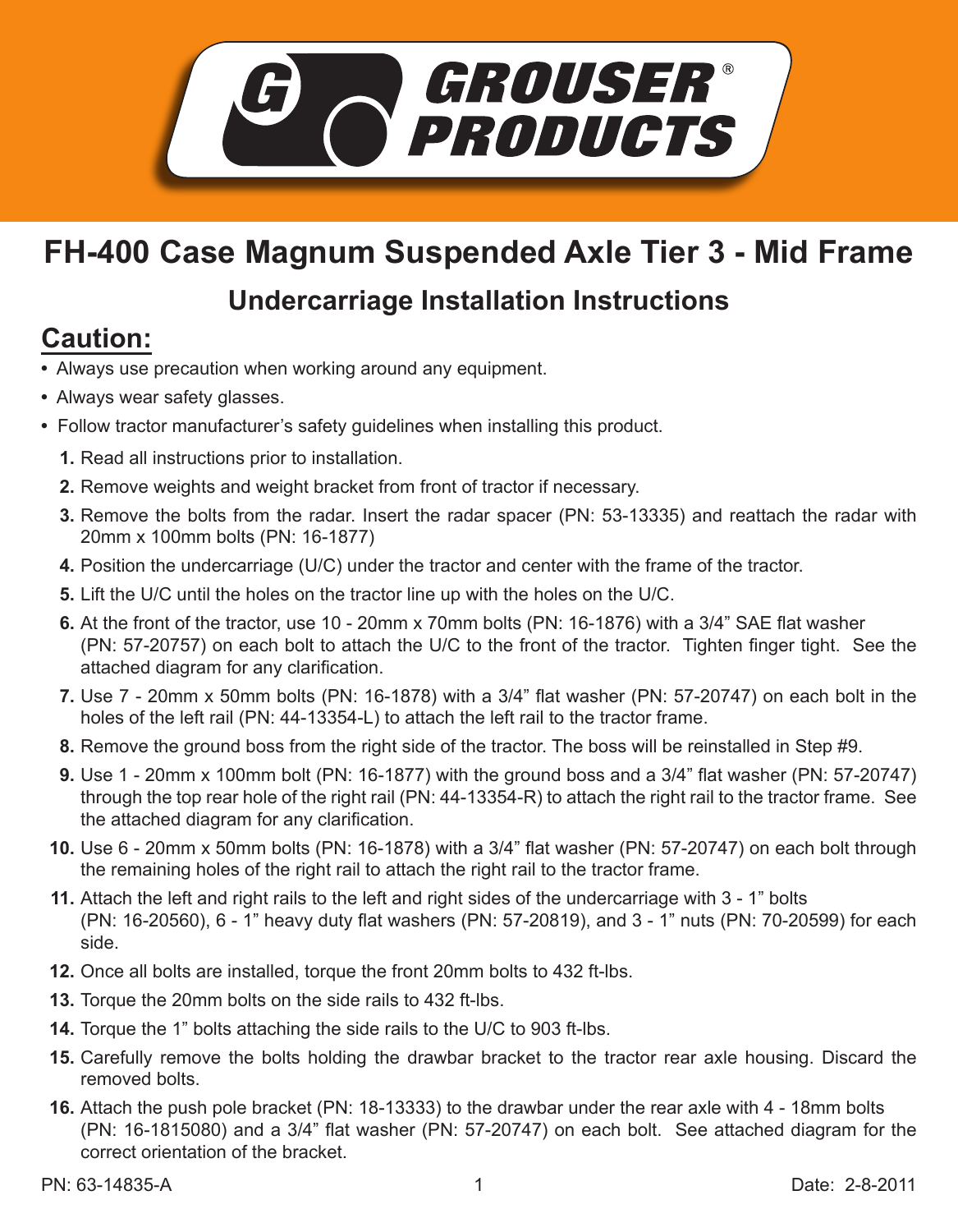

## **FH-400 Case Magnum Suspended Axle Tier 3 - Mid Frame**

## **Undercarriage Installation Instructions**

## **Caution:**

- Always use precaution when working around any equipment.
- Always wear safety glasses.
- Follow tractor manufacturer's safety guidelines when installing this product.
	- **1.** Read all instructions prior to installation.
	- 2. Remove weights and weight bracket from front of tractor if necessary.
	- **3.** Remove the bolts from the radar. Insert the radar spacer (PN: 53-13335) and reattach the radar with 20mm x 100mm bolts (PN: 16-1877)
	- **4.** Position the undercarriage (U/C) under the tractor and center with the frame of the tractor.
	- **5.** Lift the U/C until the holes on the tractor line up with the holes on the U/C.
	- **6.** At the front of the tractor, use 10 20mm x 70mm bolts (PN: 16-1876) with a 3/4" SAE flat washer (PN: 57-20757) on each bolt to attach the U/C to the front of the tractor. Tighten finger tight. See the attached diagram for any clarification.
	- **7.** Use 7 20mm x 50mm bolts (PN: 16-1878) with a 3/4" flat washer (PN: 57-20747) on each bolt in the holes of the left rail (PN: 44-13354-L) to attach the left rail to the tractor frame.
	- Remove the ground boss from the right side of the tractor. The boss will be reinstalled in Step #9. **8.**
	- Use 1 20mm x 100mm bolt (PN: 16-1877) with the ground boss and a 3/4" flat washer (PN: 57-20747) **9.** through the top rear hole of the right rail (PN: 44-13354-R) to attach the right rail to the tractor frame. See the attached diagram for any clarification.
	- Use 6 20mm x 50mm bolts (PN: 16-1878) with a 3/4" flat washer (PN: 57-20747) on each bolt through **10.** the remaining holes of the right rail to attach the right rail to the tractor frame.
	- Attach the left and right rails to the left and right sides of the undercarriage with 3 1" bolts **11.** (PN: 16-20560), 6 - 1" heavy duty flat washers (PN: 57-20819), and 3 - 1" nuts (PN: 70-20599) for each side.
	- **12.** Once all bolts are installed, torque the front 20mm bolts to 432 ft-lbs.
	- **13.** Torque the 20mm bolts on the side rails to 432 ft-lbs.
	- **14.** Torque the 1" bolts attaching the side rails to the U/C to 903 ft-lbs.
	- **15.** Carefully remove the bolts holding the drawbar bracket to the tractor rear axle housing. Discard the removed bolts.
	- Attach the push pole bracket (PN: 18-13333) to the drawbar under the rear axle with 4 18mm bolts **16.** (PN: 16-1815080) and a 3/4" flat washer (PN: 57-20747) on each bolt. See attached diagram for the correct orientation of the bracket.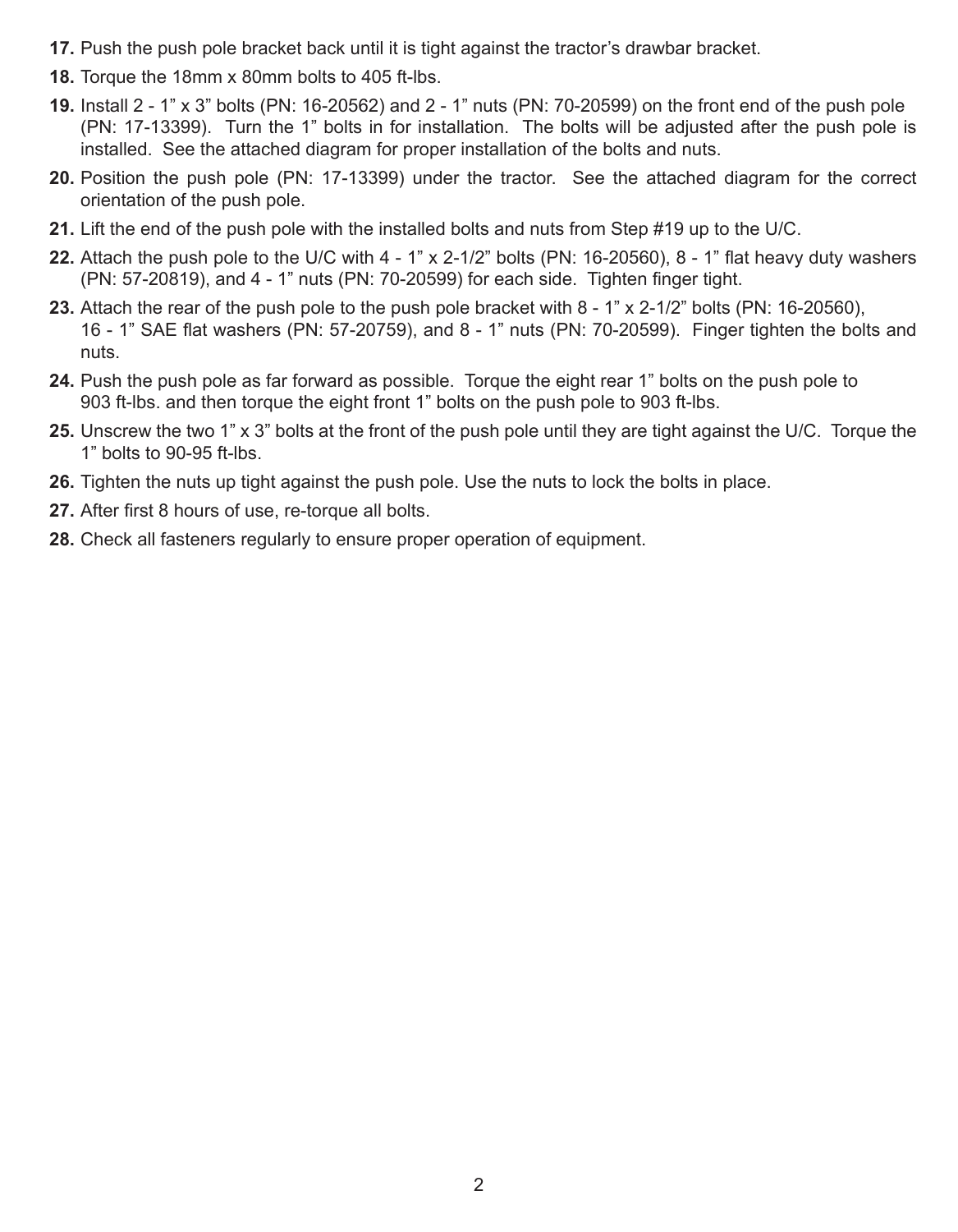- **17.** Push the push pole bracket back until it is tight against the tractor's drawbar bracket.
- **18.** Torque the 18mm x 80mm bolts to 405 ft-lbs.
- Install 2 1" x 3" bolts (PN: 16-20562) and 2 1" nuts (PN: 70-20599) on the front end of the push pole **19.** (PN: 17-13399). Turn the 1" bolts in for installation. The bolts will be adjusted after the push pole is installed. See the attached diagram for proper installation of the bolts and nuts.
- **20.** Position the push pole (PN: 17-13399) under the tractor. See the attached diagram for the correct orientation of the push pole.
- Lift the end of the push pole with the installed bolts and nuts from Step #19 up to the U/C. **21.**
- Attach the push pole to the U/C with 4 1" x 2-1/2" bolts (PN: 16-20560), 8 1" flat heavy duty washers **22.** (PN: 57-20819), and 4 - 1" nuts (PN: 70-20599) for each side. Tighten finger tight.
- Attach the rear of the push pole to the push pole bracket with 8 1" x 2-1/2" bolts (PN: 16-20560), **23.** 16 - 1" SAE flat washers (PN: 57-20759), and 8 - 1" nuts (PN: 70-20599). Finger tighten the bolts and nuts.
- **24.** Push the push pole as far forward as possible. Torque the eight rear 1" bolts on the push pole to 903 ft-lbs. and then torque the eight front 1" bolts on the push pole to 903 ft-lbs.
- Unscrew the two 1" x 3" bolts at the front of the push pole until they are tight against the U/C. Torque the **25.** 1" bolts to 90-95 ft-lbs.
- **26.** Tighten the nuts up tight against the push pole. Use the nuts to lock the bolts in place.
- **27.** After first 8 hours of use, re-torque all bolts.
- Check all fasteners regularly to ensure proper operation of equipment. **28.**